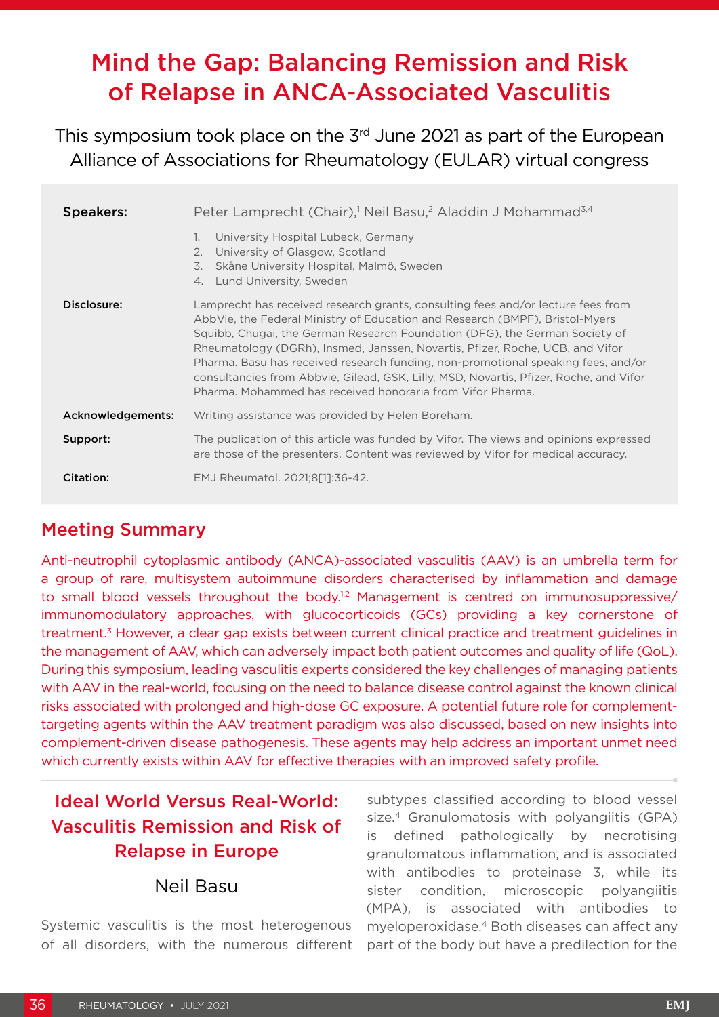# Mind the Gap: Balancing Remission and Risk of Relapse in ANCA-Associated Vasculitis

This symposium took place on the 3<sup>rd</sup> June 2021 as part of the European Alliance of Associations for Rheumatology (EULAR) virtual congress

| <b>Speakers:</b>  | Peter Lamprecht (Chair), <sup>1</sup> Neil Basu, <sup>2</sup> Aladdin J Mohammad <sup>3,4</sup>                                                                                                                                                                                                                                                                                                                                                                                                                                                                               |
|-------------------|-------------------------------------------------------------------------------------------------------------------------------------------------------------------------------------------------------------------------------------------------------------------------------------------------------------------------------------------------------------------------------------------------------------------------------------------------------------------------------------------------------------------------------------------------------------------------------|
|                   | University Hospital Lubeck, Germany<br>1.<br>University of Glasgow, Scotland<br>2.<br>Skåne University Hospital, Malmö, Sweden<br>3.<br>Lund University, Sweden<br>4.                                                                                                                                                                                                                                                                                                                                                                                                         |
| Disclosure:       | Lamprecht has received research grants, consulting fees and/or lecture fees from<br>AbbVie, the Federal Ministry of Education and Research (BMPF), Bristol-Myers<br>Squibb, Chugai, the German Research Foundation (DFG), the German Society of<br>Rheumatology (DGRh), Insmed, Janssen, Novartis, Pfizer, Roche, UCB, and Vifor<br>Pharma. Basu has received research funding, non-promotional speaking fees, and/or<br>consultancies from Abbyie, Gilead, GSK, Lilly, MSD, Novartis, Pfizer, Roche, and Vifor<br>Pharma. Mohammed has received honoraria from Vifor Pharma. |
| Acknowledgements: | Writing assistance was provided by Helen Boreham.                                                                                                                                                                                                                                                                                                                                                                                                                                                                                                                             |
| Support:          | The publication of this article was funded by Vifor. The views and opinions expressed<br>are those of the presenters. Content was reviewed by Vifor for medical accuracy.                                                                                                                                                                                                                                                                                                                                                                                                     |
| Citation:         | EMJ Rheumatol. 2021;8[1]:36-42.                                                                                                                                                                                                                                                                                                                                                                                                                                                                                                                                               |

### Meeting Summary

Anti-neutrophil cytoplasmic antibody (ANCA)-associated vasculitis (AAV) is an umbrella term for a group of rare, multisystem autoimmune disorders characterised by inflammation and damage to small blood vessels throughout the body.<sup>1,2</sup> Management is centred on immunosuppressive/ immunomodulatory approaches, with glucocorticoids (GCs) providing a key cornerstone of treatment.3 However, a clear gap exists between current clinical practice and treatment guidelines in the management of AAV, which can adversely impact both patient outcomes and quality of life (QoL). During this symposium, leading vasculitis experts considered the key challenges of managing patients with AAV in the real-world, focusing on the need to balance disease control against the known clinical risks associated with prolonged and high-dose GC exposure. A potential future role for complementtargeting agents within the AAV treatment paradigm was also discussed, based on new insights into complement-driven disease pathogenesis. These agents may help address an important unmet need which currently exists within AAV for effective therapies with an improved safety profile.

# Ideal World Versus Real-World: Vasculitis Remission and Risk of Relapse in Europe

#### Neil Basu

Systemic vasculitis is the most heterogenous of all disorders, with the numerous different subtypes classified according to blood vessel size.<sup>4</sup> Granulomatosis with polyangiitis (GPA) is defined pathologically by necrotising granulomatous inflammation, and is associated with antibodies to proteinase 3, while its sister condition, microscopic polyangiitis (MPA), is associated with antibodies to myeloperoxidase.4 Both diseases can affect any part of the body but have a predilection for the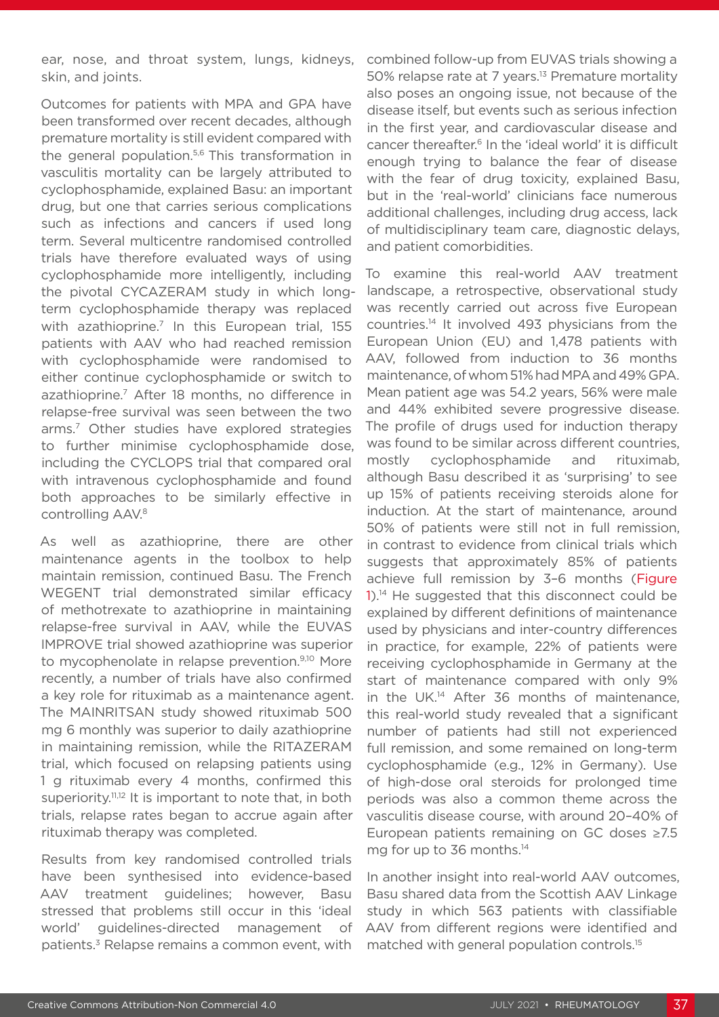ear, nose, and throat system, lungs, kidneys, skin, and joints.

Outcomes for patients with MPA and GPA have been transformed over recent decades, although premature mortality is still evident compared with the general population.<sup>5,6</sup> This transformation in vasculitis mortality can be largely attributed to cyclophosphamide, explained Basu: an important drug, but one that carries serious complications such as infections and cancers if used long term. Several multicentre randomised controlled trials have therefore evaluated ways of using cyclophosphamide more intelligently, including the pivotal CYCAZERAM study in which longterm cyclophosphamide therapy was replaced with azathioprine.<sup>7</sup> In this European trial, 155 patients with AAV who had reached remission with cyclophosphamide were randomised to either continue cyclophosphamide or switch to azathioprine.<sup>7</sup> After 18 months, no difference in relapse-free survival was seen between the two arms.7 Other studies have explored strategies to further minimise cyclophosphamide dose, including the CYCLOPS trial that compared oral with intravenous cyclophosphamide and found both approaches to be similarly effective in controlling AAV.<sup>8</sup>

As well as azathioprine, there are other maintenance agents in the toolbox to help maintain remission, continued Basu. The French WEGENT trial demonstrated similar efficacy of methotrexate to azathioprine in maintaining relapse-free survival in AAV, while the EUVAS IMPROVE trial showed azathioprine was superior to mycophenolate in relapse prevention.<sup>9,10</sup> More recently, a number of trials have also confirmed a key role for rituximab as a maintenance agent. The MAINRITSAN study showed rituximab 500 mg 6 monthly was superior to daily azathioprine in maintaining remission, while the RITAZERAM trial, which focused on relapsing patients using 1 g rituximab every 4 months, confirmed this superiority.<sup>11,12</sup> It is important to note that, in both trials, relapse rates began to accrue again after rituximab therapy was completed.

Results from key randomised controlled trials have been synthesised into evidence-based AAV treatment guidelines; however, Basu stressed that problems still occur in this 'ideal world' guidelines-directed management of patients.3 Relapse remains a common event, with

combined follow-up from EUVAS trials showing a 50% relapse rate at 7 years.<sup>13</sup> Premature mortality also poses an ongoing issue, not because of the disease itself, but events such as serious infection in the first year, and cardiovascular disease and cancer thereafter.6 In the 'ideal world' it is difficult enough trying to balance the fear of disease with the fear of drug toxicity, explained Basu, but in the 'real-world' clinicians face numerous additional challenges, including drug access, lack of multidisciplinary team care, diagnostic delays, and patient comorbidities.

To examine this real-world AAV treatment landscape, a retrospective, observational study was recently carried out across five European countries.14 It involved 493 physicians from the European Union (EU) and 1,478 patients with AAV, followed from induction to 36 months maintenance, of whom 51% had MPA and 49% GPA. Mean patient age was 54.2 years, 56% were male and 44% exhibited severe progressive disease. The profile of drugs used for induction therapy was found to be similar across different countries, mostly cyclophosphamide and rituximab, although Basu described it as 'surprising' to see up 15% of patients receiving steroids alone for induction. At the start of maintenance, around 50% of patients were still not in full remission, in contrast to evidence from clinical trials which suggests that approximately 85% of patients achieve full remission by 3–6 months (Figure 1).<sup>14</sup> He suggested that this disconnect could be explained by different definitions of maintenance used by physicians and inter-country differences in practice, for example, 22% of patients were receiving cyclophosphamide in Germany at the start of maintenance compared with only 9% in the UK.14 After 36 months of maintenance, this real-world study revealed that a significant number of patients had still not experienced full remission, and some remained on long-term cyclophosphamide (e.g., 12% in Germany). Use of high-dose oral steroids for prolonged time periods was also a common theme across the vasculitis disease course, with around 20–40% of European patients remaining on GC doses ≥7.5 mg for up to 36 months.<sup>14</sup>

In another insight into real-world AAV outcomes, Basu shared data from the Scottish AAV Linkage study in which 563 patients with classifiable AAV from different regions were identified and matched with general population controls.15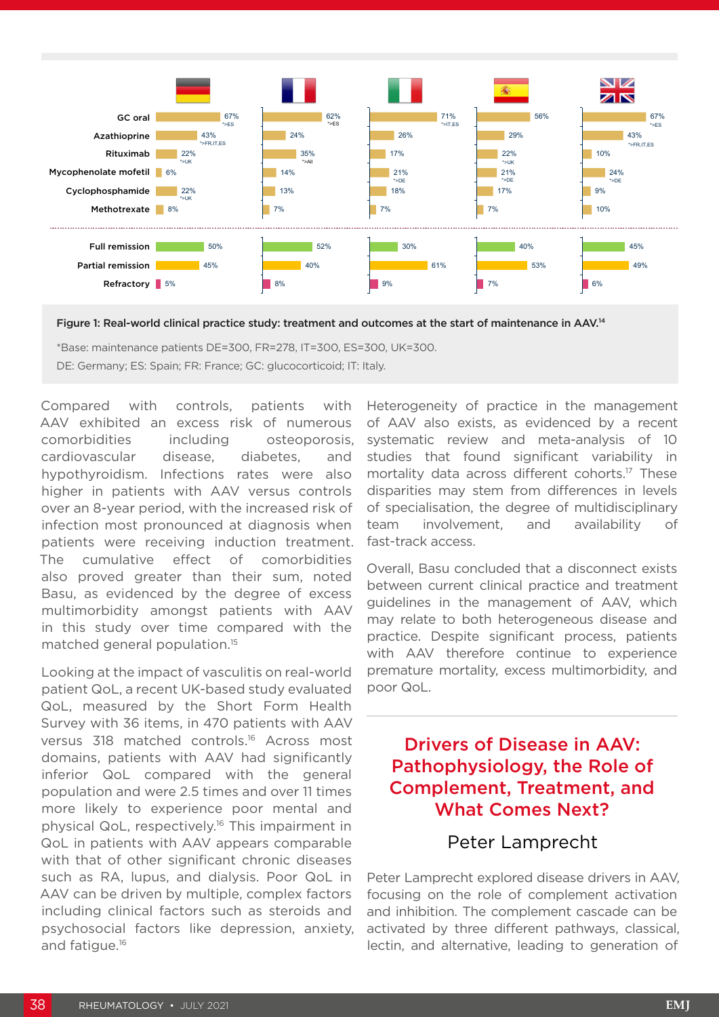

Figure 1: Real-world clinical practice study: treatment and outcomes at the start of maintenance in AAV.14

\*Base: maintenance patients DE=300, FR=278, IT=300, ES=300, UK=300. DE: Germany; ES: Spain; FR: France; GC: glucocorticoid; IT: Italy.

Compared with controls, patients with AAV exhibited an excess risk of numerous comorbidities including osteoporosis, cardiovascular disease, diabetes, and hypothyroidism. Infections rates were also higher in patients with AAV versus controls over an 8-year period, with the increased risk of infection most pronounced at diagnosis when patients were receiving induction treatment. The cumulative effect of comorbidities also proved greater than their sum, noted Basu, as evidenced by the degree of excess multimorbidity amongst patients with AAV in this study over time compared with the matched general population.15

Looking at the impact of vasculitis on real-world patient QoL, a recent UK-based study evaluated QoL, measured by the Short Form Health Survey with 36 items, in 470 patients with AAV versus 318 matched controls.16 Across most domains, patients with AAV had significantly inferior QoL compared with the general population and were 2.5 times and over 11 times more likely to experience poor mental and physical QoL, respectively.16 This impairment in QoL in patients with AAV appears comparable with that of other significant chronic diseases such as RA, lupus, and dialysis. Poor QoL in AAV can be driven by multiple, complex factors including clinical factors such as steroids and psychosocial factors like depression, anxiety, and fatigue.16

Heterogeneity of practice in the management of AAV also exists, as evidenced by a recent systematic review and meta-analysis of 10 studies that found significant variability in mortality data across different cohorts.17 These disparities may stem from differences in levels of specialisation, the degree of multidisciplinary team involvement, and availability of fast-track access.

Overall, Basu concluded that a disconnect exists between current clinical practice and treatment guidelines in the management of AAV, which may relate to both heterogeneous disease and practice. Despite significant process, patients with AAV therefore continue to experience premature mortality, excess multimorbidity, and poor QoL.

## Drivers of Disease in AAV: Pathophysiology, the Role of Complement, Treatment, and What Comes Next?

#### Peter Lamprecht

Peter Lamprecht explored disease drivers in AAV, focusing on the role of complement activation and inhibition. The complement cascade can be activated by three different pathways, classical, lectin, and alternative, leading to generation of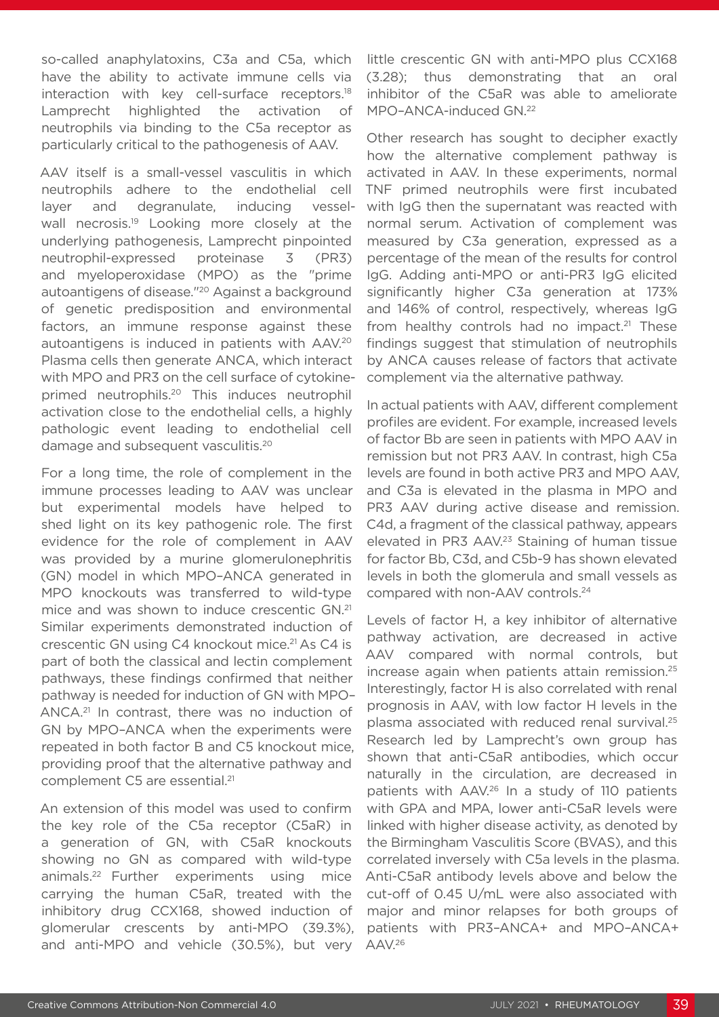so-called anaphylatoxins, C3a and C5a, which have the ability to activate immune cells via interaction with key cell-surface receptors.<sup>18</sup> Lamprecht highlighted the activation of neutrophils via binding to the C5a receptor as particularly critical to the pathogenesis of AAV.

AAV itself is a small-vessel vasculitis in which neutrophils adhere to the endothelial cell layer and degranulate, inducing vesselwall necrosis.<sup>19</sup> Looking more closely at the underlying pathogenesis, Lamprecht pinpointed neutrophil-expressed proteinase 3 (PR3) and myeloperoxidase (MPO) as the "prime autoantigens of disease."20 Against a background of genetic predisposition and environmental factors, an immune response against these autoantigens is induced in patients with AAV.20 Plasma cells then generate ANCA, which interact with MPO and PR3 on the cell surface of cytokineprimed neutrophils.20 This induces neutrophil activation close to the endothelial cells, a highly pathologic event leading to endothelial cell damage and subsequent vasculitis.<sup>20</sup>

For a long time, the role of complement in the immune processes leading to AAV was unclear but experimental models have helped to shed light on its key pathogenic role. The first evidence for the role of complement in AAV was provided by a murine glomerulonephritis (GN) model in which MPO–ANCA generated in MPO knockouts was transferred to wild-type mice and was shown to induce crescentic GN.21 Similar experiments demonstrated induction of crescentic GN using C4 knockout mice.<sup>21</sup> As C4 is part of both the classical and lectin complement pathways, these findings confirmed that neither pathway is needed for induction of GN with MPO– ANCA.21 In contrast, there was no induction of GN by MPO–ANCA when the experiments were repeated in both factor B and C5 knockout mice, providing proof that the alternative pathway and complement C5 are essential.<sup>21</sup>

An extension of this model was used to confirm the key role of the C5a receptor (C5aR) in a generation of GN, with C5aR knockouts showing no GN as compared with wild-type animals.22 Further experiments using mice carrying the human C5aR, treated with the inhibitory drug CCX168, showed induction of glomerular crescents by anti-MPO (39.3%), and anti-MPO and vehicle (30.5%), but very

little crescentic GN with anti-MPO plus CCX168 (3.28); thus demonstrating that an oral inhibitor of the C5aR was able to ameliorate MPO–ANCA-induced GN.22

Other research has sought to decipher exactly how the alternative complement pathway is activated in AAV. In these experiments, normal TNF primed neutrophils were first incubated with IgG then the supernatant was reacted with normal serum. Activation of complement was measured by C3a generation, expressed as a percentage of the mean of the results for control IgG. Adding anti-MPO or anti-PR3 IgG elicited significantly higher C3a generation at 173% and 146% of control, respectively, whereas IgG from healthy controls had no impact. $21$  These findings suggest that stimulation of neutrophils by ANCA causes release of factors that activate complement via the alternative pathway.

In actual patients with AAV, different complement profiles are evident. For example, increased levels of factor Bb are seen in patients with MPO AAV in remission but not PR3 AAV. In contrast, high C5a levels are found in both active PR3 and MPO AAV, and C3a is elevated in the plasma in MPO and PR3 AAV during active disease and remission. C4d, a fragment of the classical pathway, appears elevated in PR3 AAV.<sup>23</sup> Staining of human tissue for factor Bb, C3d, and C5b-9 has shown elevated levels in both the glomerula and small vessels as compared with non-AAV controls.24

Levels of factor H, a key inhibitor of alternative pathway activation, are decreased in active AAV compared with normal controls, but increase again when patients attain remission.25 Interestingly, factor H is also correlated with renal prognosis in AAV, with low factor H levels in the plasma associated with reduced renal survival.25 Research led by Lamprecht's own group has shown that anti-C5aR antibodies, which occur naturally in the circulation, are decreased in patients with AAV.26 In a study of 110 patients with GPA and MPA, lower anti-C5aR levels were linked with higher disease activity, as denoted by the Birmingham Vasculitis Score (BVAS), and this correlated inversely with C5a levels in the plasma. Anti-C5aR antibody levels above and below the cut-off of 0.45 U/mL were also associated with major and minor relapses for both groups of patients with PR3–ANCA+ and MPO–ANCA+ AAV.26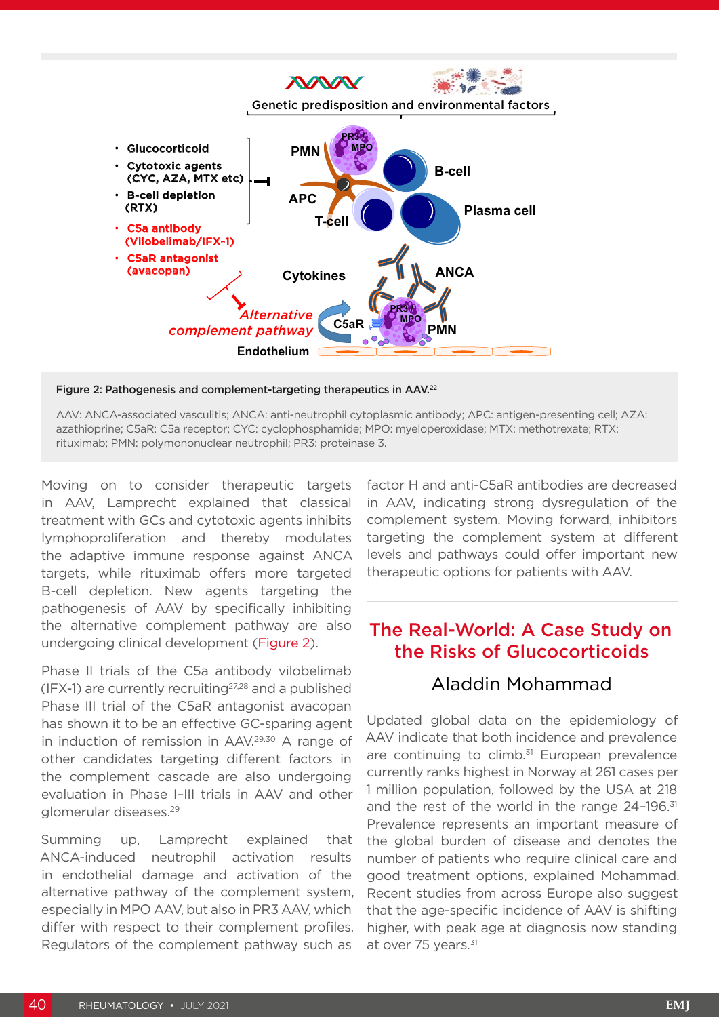

Figure 2: Pathogenesis and complement-targeting therapeutics in AAV.22

AAV: ANCA-associated vasculitis; ANCA: anti-neutrophil cytoplasmic antibody; APC: antigen-presenting cell; AZA: azathioprine; C5aR: C5a receptor; CYC: cyclophosphamide; MPO: myeloperoxidase; MTX: methotrexate; RTX: rituximab; PMN: polymononuclear neutrophil; PR3: proteinase 3.

Moving on to consider therapeutic targets in AAV, Lamprecht explained that classical treatment with GCs and cytotoxic agents inhibits lymphoproliferation and thereby modulates the adaptive immune response against ANCA targets, while rituximab offers more targeted B-cell depletion. New agents targeting the pathogenesis of AAV by specifically inhibiting the alternative complement pathway are also undergoing clinical development (Figure 2).

Phase II trials of the C5a antibody vilobelimab  $(IFX-1)$  are currently recruiting<sup>27,28</sup> and a published Phase III trial of the C5aR antagonist avacopan has shown it to be an effective GC-sparing agent in induction of remission in AAV.<sup>29,30</sup> A range of other candidates targeting different factors in the complement cascade are also undergoing evaluation in Phase I–III trials in AAV and other glomerular diseases.29

Summing up, Lamprecht explained that ANCA-induced neutrophil activation results in endothelial damage and activation of the alternative pathway of the complement system, especially in MPO AAV, but also in PR3 AAV, which differ with respect to their complement profiles. Regulators of the complement pathway such as

factor H and anti-C5aR antibodies are decreased in AAV, indicating strong dysregulation of the complement system. Moving forward, inhibitors targeting the complement system at different levels and pathways could offer important new therapeutic options for patients with AAV.

# The Real-World: A Case Study on the Risks of Glucocorticoids

#### Aladdin Mohammad

Updated global data on the epidemiology of AAV indicate that both incidence and prevalence are continuing to climb.<sup>31</sup> European prevalence currently ranks highest in Norway at 261 cases per 1 million population, followed by the USA at 218 and the rest of the world in the range  $24$ -196.<sup>31</sup> Prevalence represents an important measure of the global burden of disease and denotes the number of patients who require clinical care and good treatment options, explained Mohammad. Recent studies from across Europe also suggest that the age-specific incidence of AAV is shifting higher, with peak age at diagnosis now standing at over 75 years.<sup>31</sup>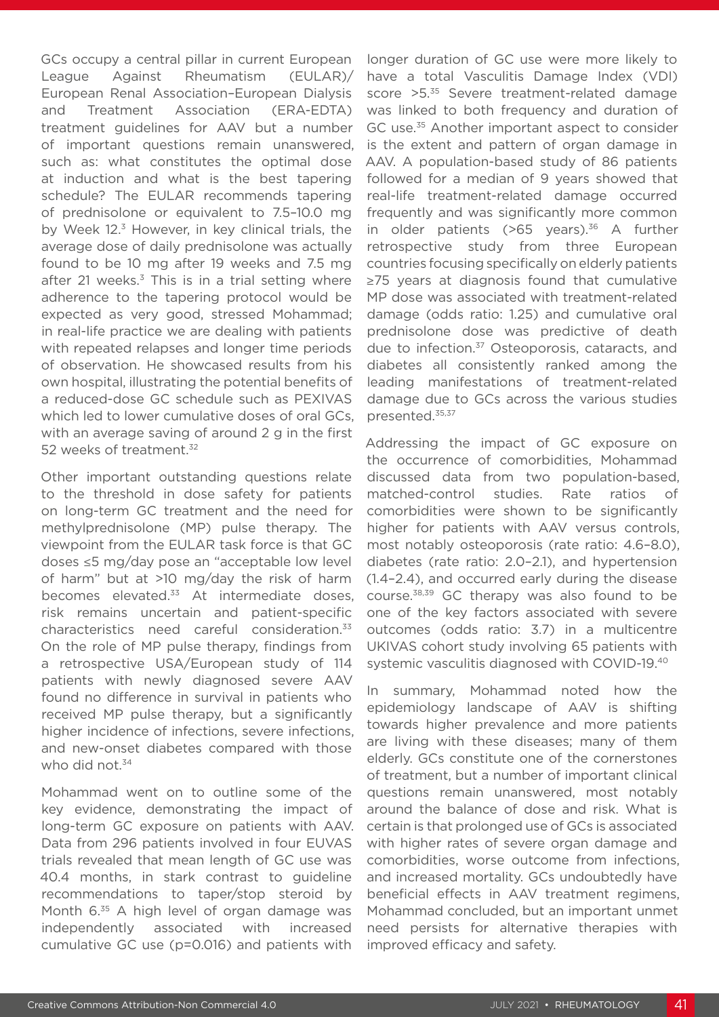GCs occupy a central pillar in current European League Against Rheumatism (EULAR)/ European Renal Association–European Dialysis and Treatment Association (ERA-EDTA) treatment guidelines for AAV but a number of important questions remain unanswered, such as: what constitutes the optimal dose at induction and what is the best tapering schedule? The EULAR recommends tapering of prednisolone or equivalent to 7.5–10.0 mg by Week 12.<sup>3</sup> However, in key clinical trials, the average dose of daily prednisolone was actually found to be 10 mg after 19 weeks and 7.5 mg after 21 weeks. $3$  This is in a trial setting where adherence to the tapering protocol would be expected as very good, stressed Mohammad; in real-life practice we are dealing with patients with repeated relapses and longer time periods of observation. He showcased results from his own hospital, illustrating the potential benefits of a reduced-dose GC schedule such as PEXIVAS which led to lower cumulative doses of oral GCs, with an average saving of around 2 g in the first 52 weeks of treatment.<sup>32</sup>

Other important outstanding questions relate to the threshold in dose safety for patients on long-term GC treatment and the need for methylprednisolone (MP) pulse therapy. The viewpoint from the EULAR task force is that GC doses ≤5 mg/day pose an "acceptable low level of harm" but at >10 mg/day the risk of harm becomes elevated.<sup>33</sup> At intermediate doses, risk remains uncertain and patient-specific characteristics need careful consideration.33 On the role of MP pulse therapy, findings from a retrospective USA/European study of 114 patients with newly diagnosed severe AAV found no difference in survival in patients who received MP pulse therapy, but a significantly higher incidence of infections, severe infections, and new-onset diabetes compared with those who did not. $34$ 

Mohammad went on to outline some of the key evidence, demonstrating the impact of long-term GC exposure on patients with AAV. Data from 296 patients involved in four EUVAS trials revealed that mean length of GC use was 40.4 months, in stark contrast to guideline recommendations to taper/stop steroid by Month 6.<sup>35</sup> A high level of organ damage was independently associated with increased cumulative GC use (p=0.016) and patients with

longer duration of GC use were more likely to have a total Vasculitis Damage Index (VDI) score > 5.<sup>35</sup> Severe treatment-related damage was linked to both frequency and duration of GC use.<sup>35</sup> Another important aspect to consider is the extent and pattern of organ damage in AAV. A population-based study of 86 patients followed for a median of 9 years showed that real-life treatment-related damage occurred frequently and was significantly more common in older patients ( $>65$  years).<sup>36</sup> A further retrospective study from three European countries focusing specifically on elderly patients ≥75 years at diagnosis found that cumulative MP dose was associated with treatment-related damage (odds ratio: 1.25) and cumulative oral prednisolone dose was predictive of death due to infection.<sup>37</sup> Osteoporosis, cataracts, and diabetes all consistently ranked among the leading manifestations of treatment-related damage due to GCs across the various studies presented.35,37

Addressing the impact of GC exposure on the occurrence of comorbidities, Mohammad discussed data from two population-based, matched-control studies. Rate ratios of comorbidities were shown to be significantly higher for patients with AAV versus controls, most notably osteoporosis (rate ratio: 4.6–8.0), diabetes (rate ratio: 2.0–2.1), and hypertension (1.4–2.4), and occurred early during the disease course.38,39 GC therapy was also found to be one of the key factors associated with severe outcomes (odds ratio: 3.7) in a multicentre UKIVAS cohort study involving 65 patients with systemic vasculitis diagnosed with COVID-19.40

In summary, Mohammad noted how the epidemiology landscape of AAV is shifting towards higher prevalence and more patients are living with these diseases; many of them elderly. GCs constitute one of the cornerstones of treatment, but a number of important clinical questions remain unanswered, most notably around the balance of dose and risk. What is certain is that prolonged use of GCs is associated with higher rates of severe organ damage and comorbidities, worse outcome from infections, and increased mortality. GCs undoubtedly have beneficial effects in AAV treatment regimens, Mohammad concluded, but an important unmet need persists for alternative therapies with improved efficacy and safety.